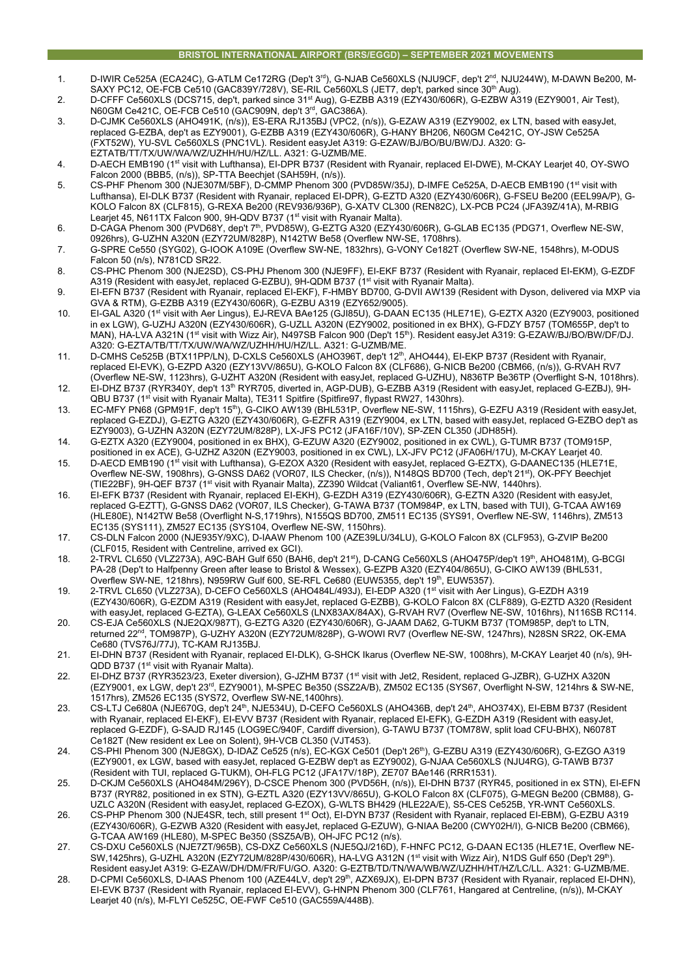## **BRISTOL INTERNATIONAL AIRPORT (BRS/EGGD) – SEPTEMBER 2021 MOVEMENTS**

- 1. D-IWIR Ce525A (ECA24C), G-ATLM Ce172RG (Dep't 3rd), G-NJAB Ce560XLS (NJU9CF, dep't 2nd, NJU244W), M-DAWN Be200, M-SAXY PC12, OE-FCB Ce510 (GAC839Y/728V), SE-RIL Ce560XLS (JET7, dep't, parked since 30<sup>th</sup> Aug).
- 2. D-CFFF Ce560XLS (DCS715, dep't, parked since 31<sup>st</sup> Aug), G-EZBB A319 (EZY430/606R), G-EZBW A319 (EZY9001, Air Test), N60GM Ce421C, OE-FCB Ce510 (GAC909N, dep't 3rd, GAC386A).
- 3. D-CJMK Ce560XLS (AHO491K, (n/s)), ES-ERA RJ135BJ (VPC2, (n/s)), G-EZAW A319 (EZY9002, ex LTN, based with easyJet, replaced G-EZBA, dep't as EZY9001), G-EZBB A319 (EZY430/606R), G-HANY BH206, N60GM Ce421C, OY-JSW Ce525A (FXT52W), YU-SVL Ce560XLS (PNC1VL). Resident easyJet A319: G-EZAW/BJ/BO/BU/BW/DJ. A320: G-EZTATB/TT/TX/UW/WA/WZ/UZHH/HU/HZ/LL. A321: G-UZMB/ME.
- 4. D-AECH EMB190 (1<sup>st</sup> visit with Lufthansa), EI-DPR B737 (Resident with Ryanair, replaced EI-DWE), M-CKAY Learjet 40, OY-SWO Falcon 2000 (BBB5, (n/s)), SP-TTA Beechjet (SAH59H, (n/s)).
- 5. CS-PHF Phenom 300 (NJE307M/5BF), D-CMMP Phenom 300 (PVD85W/35J), D-IMFE Ce525A, D-AECB EMB190 (1st visit with Lufthansa), EI-DLK B737 (Resident with Ryanair, replaced EI-DPR), G-EZTD A320 (EZY430/606R), G-FSEU Be200 (EEL99A/P), G-KOLO Falcon 8X (CLF815), G-REXA Be200 (REV936/936P), G-XATV CL300 (REN82C), LX-PCB PC24 (JFA39Z/41A), M-RBIG Learjet 45, N611TX Falcon 900, 9H-QDV B737 (1<sup>st</sup> visit with Ryanair Malta).
- 6. D-CAGA Phenom 300 (PVD68Y, dep't 7th, PVD85W), G-EZTG A320 (EZY430/606R), G-GLAB EC135 (PDG71, Overflew NE-SW, 0926hrs), G-UZHN A320N (EZY72UM/828P), N142TW Be58 (Overflew NW-SE, 1708hrs).
- 7. G-SPRE Ce550 (SYG02), G-IOOK A109E (Overflew SW-NE, 1832hrs), G-VONY Ce182T (Overflew SW-NE, 1548hrs), M-ODUS Falcon 50 (n/s), N781CD SR22.
- 8. CS-PHC Phenom 300 (NJE2SD), CS-PHJ Phenom 300 (NJE9FF), EI-EKF B737 (Resident with Ryanair, replaced EI-EKM), G-EZDF A319 (Resident with easyJet, replaced G-EZBU), 9H-QDM B737 (1<sup>st</sup> visit with Ryanair Malta).
- 9. EI-EFN B737 (Resident with Ryanair, replaced EI-EKF), F-HMBY BD700, G-DVII AW139 (Resident with Dyson, delivered via MXP via GVA & RTM), G-EZBB A319 (EZY430/606R), G-EZBU A319 (EZY652/9005).
- 10. EI-GAL A320 (1st visit with Aer Lingus), EJ-REVA BAe125 (GJI85U), G-DAAN EC135 (HLE71E), G-EZTX A320 (EZY9003, positioned in ex LGW), G-UZHJ A320N (EZY430/606R), G-UZLL A320N (EZY9002, positioned in ex BHX), G-FDZY B757 (TOM655P, dep't to MAN), HA-LVA A321N (1st visit with Wizz Air), N497SB Falcon 900 (Dep't 15th). Resident easyJet A319: G-EZAW/BJ/BO/BW/DF/DJ. A320: G-EZTA/TB/TT/TX/UW/WA/WZ/UZHH/HU/HZ/LL. A321: G-UZMB/ME.
- 11. D-CMHS Ce525B (BTX11PP/LN), D-CXLS Ce560XLS (AHO396T, dep't 12<sup>th</sup>, AHO444), EI-EKP B737 (Resident with Ryanair, replaced EI-EVK), G-EZPD A320 (EZY13VV/865U), G-KOLO Falcon 8X (CLF686), G-NICB Be200 (CBM66, (n/s)), G-RVAH RV7 (Overflew NE-SW, 1123hrs), G-UZHT A320N (Resident with easyJet, replaced G-UZHU), N836TP Be36TP (Overflight S-N, 1018hrs).
- 12. EI-DHZ B737 (RYR340Y, dep't 13th RYR705, diverted in, AGP-DUB), G-EZBB A319 (Resident with easyJet, replaced G-EZBJ), 9H-QBU B737 (1<sup>st</sup> visit with Ryanair Malta), TE311 Spitfire (Spitfire97, flypast RW27, 1430hrs).
- 13. EC-MFY PN68 (GPM91F, dep't 15th), G-CIKO AW139 (BHL531P, Overflew NE-SW, 1115hrs), G-EZFU A319 (Resident with easyJet, replaced G-EZDJ), G-EZTG A320 (EZY430/606R), G-EZFR A319 (EZY9004, ex LTN, based with easyJet, replaced G-EZBO dep't as EZY9003), G-UZHN A320N (EZY72UM/828P), LX-JFS PC12 (JFA16F/10V), SP-ZEN CL350 (JDH85H).
- 14. G-EZTX A320 (EZY9004, positioned in ex BHX), G-EZUW A320 (EZY9002, positioned in ex CWL), G-TUMR B737 (TOM915P, positioned in ex ACE), G-UZHZ A320N (EZY9003, positioned in ex CWL), LX-JFV PC12 (JFA06H/17U), M-CKAY Learjet 40.
- 15. D-AECD EMB190 (1st visit with Lufthansa), G-EZOX A320 (Resident with easyJet, replaced G-EZTX), G-DAANEC135 (HLE71E, Overflew NE-SW, 1908hrs), G-GNSS DA62 (VOR07, ILS Checker, (n/s)), N148QS BD700 (Tech, dep't 21st), OK-PFY Beechjet (TIE22BF), 9H-QEF B737 (1st visit with Ryanair Malta), ZZ390 Wildcat (Valiant61, Overflew SE-NW, 1440hrs).
- 16. EI-EFK B737 (Resident with Ryanair, replaced EI-EKH), G-EZDH A319 (EZY430/606R), G-EZTN A320 (Resident with easyJet, replaced G-EZTT), G-GNSS DA62 (VOR07, ILS Checker), G-TAWA B737 (TOM984P, ex LTN, based with TUI), G-TCAA AW169 (HLE80E), N142TW Be58 (Overflight N-S,1719hrs), N155QS BD700, ZM511 EC135 (SYS91, Overflew NE-SW, 1146hrs), ZM513 EC135 (SYS111), ZM527 EC135 (SYS104, Overflew NE-SW, 1150hrs).
- 17. CS-DLN Falcon 2000 (NJE935Y/9XC), D-IAAW Phenom 100 (AZE39LU/34LU), G-KOLO Falcon 8X (CLF953), G-ZVIP Be200 (CLF015, Resident with Centreline, arrived ex GCI).
- 18. 2-TRVL CL650 (VLZ273A), A9C-BAH Gulf 650 (BAH6, dep't 21st), D-CANG Ce560XLS (AHO475P/dep't 19th, AHO481M), G-BCGI PA-28 (Dep't to Halfpenny Green after lease to Bristol & Wessex), G-EZPB A320 (EZY404/865U), G-CIKO AW139 (BHL531, Overflew SW-NE, 1218hrs), N959RW Gulf 600, SE-RFL Ce680 (EUW5355, dep't 19th, EUW5357).
- 19. 2-TRVL CL650 (VLZ273A), D-CEFO Ce560XLS (AHO484L/493J), EI-EDP A320 (1st visit with Aer Lingus), G-EZDH A319 (EZY430/606R), G-EZDM A319 (Resident with easyJet, replaced G-EZBB), G-KOLO Falcon 8X (CLF889), G-EZTD A320 (Resident with easyJet, replaced G-EZTA), G-LEAX Ce560XLS (LNX83AX/84AX), G-RVAH RV7 (Overflew NE-SW, 1016hrs), N116SB RC114.
- 20. CS-EJA Ce560XLS (NJE2QX/987T), G-EZTG A320 (EZY430/606R), G-JAAM DA62, G-TUKM B737 (TOM985P, dep't to LTN, returned 22nd, TOM987P), G-UZHY A320N (EZY72UM/828P), G-WOWI RV7 (Overflew NE-SW, 1247hrs), N28SN SR22, OK-EMA Ce680 (TVS76J/77J), TC-KAM RJ135BJ.
- 21. EI-DHN B737 (Resident with Ryanair, replaced EI-DLK), G-SHCK Ikarus (Overflew NE-SW, 1008hrs), M-CKAY Learjet 40 (n/s), 9H-QDD B737 (1<sup>st v</sup>isit with Ryanair Malta).
- 22. EI-DHZ B737 (RYR3523/23, Exeter diversion), G-JZHM B737 (1st visit with Jet2, Resident, replaced G-JZBR), G-UZHX A320N (EZY9001, ex LGW, dep't 23rd, EZY9001), M-SPEC Be350 (SSZ2A/B), ZM502 EC135 (SYS67, Overflight N-SW, 1214hrs & SW-NE, 1517hrs), ZM526 EC135 (SYS72, Overflew SW-NE,1400hrs).
- 23. CS-LTJ Ce680A (NJE670G, dep't 24th, NJE534U), D-CEFO Ce560XLS (AHO436B, dep't 24th, AHO374X), EI-EBM B737 (Resident with Ryanair, replaced EI-EKF), EI-EVV B737 (Resident with Ryanair, replaced EI-EFK), G-EZDH A319 (Resident with easyJet, replaced G-EZDF), G-SAJD RJ145 (LOG9EC/940F, Cardiff diversion), G-TAWU B737 (TOM78W, split load CFU-BHX), N6078T Ce182T (New resident ex Lee on Solent), 9H-VCB CL350 (VJT453).
- 24. CS-PHI Phenom 300 (NJE8GX), D-IDAZ Ce525 (n/s), EC-KGX Ce501 (Dep't 26th), G-EZBU A319 (EZY430/606R), G-EZGO A319 (EZY9001, ex LGW, based with easyJet, replaced G-EZBW dep't as EZY9002), G-NJAA Ce560XLS (NJU4RG), G-TAWB B737 (Resident with TUI, replaced G-TUKM), OH-FLG PC12 (JFA17V/18P), ZE707 BAe146 (RRR1531).
- 25. D-CKJM Ce560XLS (AHO484M/296Y), D-CSCE Phenom 300 (PVD56H, (n/s)), EI-DHN B737 (RYR45, positioned in ex STN), EI-EFN B737 (RYR82, positioned in ex STN), G-EZTL A320 (EZY13VV/865U), G-KOLO Falcon 8X (CLF075), G-MEGN Be200 (CBM88), G-UZLC A320N (Resident with easyJet, replaced G-EZOX), G-WLTS BH429 (HLE22A/E), S5-CES Ce525B, YR-WNT Ce560XLS.
- 26. CS-PHP Phenom 300 (NJE4SR, tech, still present 1st Oct), EI-DYN B737 (Resident with Ryanair, replaced EI-EBM), G-EZBU A319 (EZY430/606R), G-EZWB A320 (Resident with easyJet, replaced G-EZUW), G-NIAA Be200 (CWY02H/I), G-NICB Be200 (CBM66), G-TCAA AW169 (HLE80), M-SPEC Be350 (SSZ5A/B), OH-JFC PC12 (n/s).
- 27. CS-DXU Ce560XLS (NJE7ZT/965B), CS-DXZ Ce560XLS (NJE5QJ/216D), F-HNFC PC12, G-DAAN EC135 (HLE71E, Overflew NE-SW,1425hrs), G-UZHL A320N (EZY72UM/828P/430/606R), HA-LVG A312N (1<sup>st</sup> visit with Wizz Air), N1DS Gulf 650 (Dep't 29<sup>th</sup>). Resident easyJet A319: G-EZAW/DH/DM/FR/FU/GO. A320: G-EZTB/TD/TN/WA/WB/WZ/UZHH/HT/HZ/LC/LL. A321: G-UZMB/ME.
- 28. D-CPMI Ce560XLS, D-IAAS Phenom 100 (AZE44LV, dep't 29th, AZX69JX), EI-DPN B737 (Resident with Ryanair, replaced EI-DHN), EI-EVK B737 (Resident with Ryanair, replaced EI-EVV), G-HNPN Phenom 300 (CLF761, Hangared at Centreline, (n/s)), M-CKAY Learjet 40 (n/s), M-FLYI Ce525C, OE-FWF Ce510 (GAC559A/448B).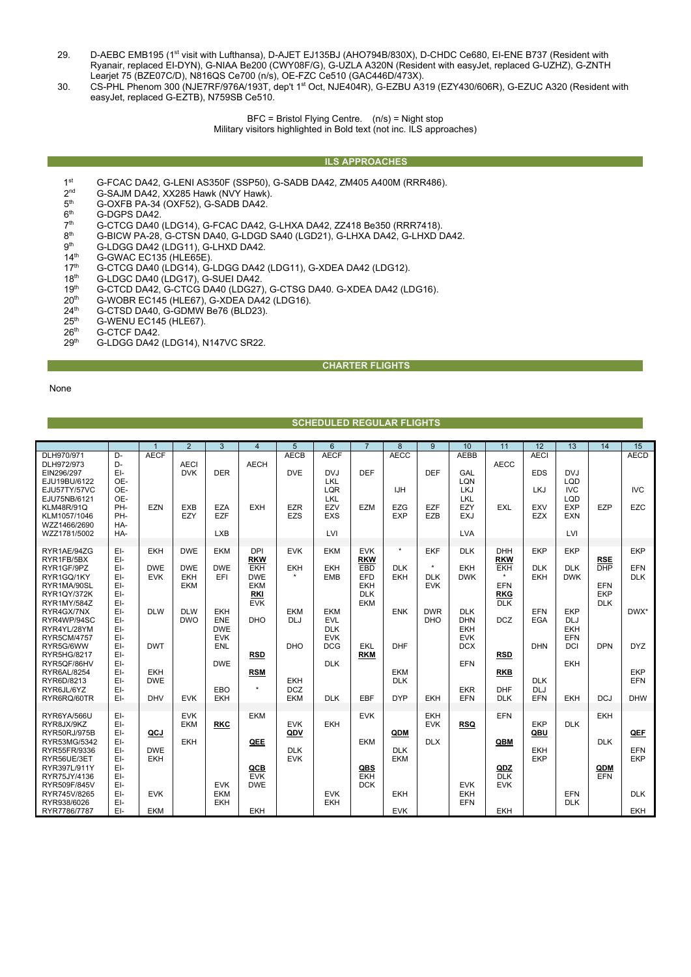- 29. D-AEBC EMB195 (1st visit with Lufthansa), D-AJET EJ135BJ (AHO794B/830X), D-CHDC Ce680, EI-ENE B737 (Resident with Ryanair, replaced EI-DYN), G-NIAA Be200 (CWY08F/G), G-UZLA A320N (Resident with easyJet, replaced G-UZHZ), G-ZNTH Learjet 75 (BZE07C/D), N816QS Ce700 (n/s), OE-FZC Ce510 (GAC446D/473X).
- 30. CS-PHL Phenom 300 (NJE7RF/976A/193T, dep't 1st Oct, NJE404R), G-EZBU A319 (EZY430/606R), G-EZUC A320 (Resident with easyJet, replaced G-EZTB), N759SB Ce510.

BFC = Bristol Flying Centre. (n/s) = Night stop Military visitors highlighted in Bold text (not inc. ILS approaches)

#### **ILS APPROACHES**

- 1st G-FCAC DA42, G-LENI AS350F (SSP50), G-SADB DA42, ZM405 A400M (RRR486).<br>2<sup>nd</sup> G-SAJM DA42, XX285 Hawk (NVY Hawk).
- $2^{nd}$  G-SAJM DA42, XX285 Hawk (NVY Hawk).<br> $5^{th}$  G-OXFB PA-34 (OXF52), G-SADB DA42.
- $5<sup>th</sup>$  G-OXFB PA-34 (OXF52), G-SADB DA42.<br> $6<sup>th</sup>$  G-DGPS DA42.
- $6<sup>th</sup>$  G-DGPS DA42.<br> $7<sup>th</sup>$  G-CTCG DA40
- 7<sup>th</sup> G-CTCG DA40 (LDG14), G-FCAC DA42, G-LHXA DA42, ZZ418 Be350 (RRR7418).<br>8<sup>th</sup> G-BICW PA-28, G-CTSN DA40, G-LDGD SA40 (LGD21), G-LHXA DA42, G-LHXD D
- 8<sup>th</sup> G-BICW PA-28, G-CTSN DA40, G-LDGD SA40 (LGD21), G-LHXA DA42, G-LHXD DA42.<br>9<sup>th</sup> G-LDGG DA42 (LDG11), G-LHXD DA42.
- $9<sup>th</sup>$  G-LDGG DA42 (LDG11), G-LHXD DA42.<br>14<sup>th</sup> G-GWAC EC135 (HLE65E).
- $14<sup>th</sup>$  G-GWAC EC135 (HLE65E).<br> $17<sup>th</sup>$  G-CTCG DA40 (LDG14). G-
- 17<sup>th</sup> G-CTCG DA40 (LDG14), G-LDGG DA42 (LDG11), G-XDEA DA42 (LDG12).
- 18<sup>th</sup> G-LDGC DA40 (LDG17), G-SUEI DA42.
- 19<sup>th</sup> G-CTCD DA42, G-CTCG DA40 (LDG27), G-CTSG DA40. G-XDEA DA42 (LDG16).<br>20<sup>th</sup> G-WOBR EC145 (HLE67), G-XDEA DA42 (LDG16).
- $20<sup>th</sup>$  G-WOBR EC145 (HLE67), G-XDEA DA42 (LDG16).
- 24<sup>th</sup> G-CTSD DA40, G-GDMW Be76 (BLD23).
- $25<sup>th</sup>$  G-WENU EC145 (HLE67).<br> $26<sup>th</sup>$  G-CTCF DA42.
- 
- 26<sup>th</sup> G-CTCF DA42.<br>29<sup>th</sup> G-LDGG DA42 29th G-LDGG DA42 (LDG14), N147VC SR22.

### **CHARTER FLIGHTS**

None

## **SCHEDULED REGULAR FLIGHTS**

|                                                                                                                                                             |                                                                    |                                               | $\overline{2}$                                 | $\overline{3}$                                                                   | $\overline{4}$                                                                                 | 5                                                                  | $\overline{6}$                                                             | $\overline{7}$                                                            | $\overline{8}$                                 | 9                                                  | 10                                                                                      | 11                                                                                          | 12                                                          | 13                                                                 | 14                                                          | 15                                      |
|-------------------------------------------------------------------------------------------------------------------------------------------------------------|--------------------------------------------------------------------|-----------------------------------------------|------------------------------------------------|----------------------------------------------------------------------------------|------------------------------------------------------------------------------------------------|--------------------------------------------------------------------|----------------------------------------------------------------------------|---------------------------------------------------------------------------|------------------------------------------------|----------------------------------------------------|-----------------------------------------------------------------------------------------|---------------------------------------------------------------------------------------------|-------------------------------------------------------------|--------------------------------------------------------------------|-------------------------------------------------------------|-----------------------------------------|
| DLH970/971<br>DLH972/973<br>EIN296/297<br>EJU19BU/6122<br>EJU57TY/57VC<br>EJU75NB/6121<br><b>KLM48R/91Q</b><br>KLM1057/1046<br>WZZ1466/2690<br>WZZ1781/5002 | D-<br>D-<br>EI-<br>OE-<br>OE-<br>OE-<br>PH-<br>PH-<br>HA-<br>HA-   | <b>AECF</b><br>EZN                            | <b>AECI</b><br><b>DVK</b><br><b>EXB</b><br>EZY | <b>DER</b><br>EZA<br><b>EZF</b><br><b>LXB</b>                                    | <b>AECH</b><br><b>EXH</b>                                                                      | <b>AECB</b><br><b>DVE</b><br><b>EZR</b><br>EZS                     | <b>AECF</b><br><b>DVJ</b><br>LKL<br>LQR<br>LKL<br>EZV<br><b>EXS</b><br>LVI | <b>DEF</b><br>EZM                                                         | <b>AECC</b><br><b>IJH</b><br>EZG<br><b>EXP</b> | <b>DEF</b><br>EZF<br>EZB                           | <b>AEBB</b><br>GAL<br>LQN<br><b>LKJ</b><br>LKL<br>EZY<br><b>EXJ</b><br><b>LVA</b>       | <b>AECC</b><br><b>EXL</b>                                                                   | <b>AECI</b><br><b>EDS</b><br>LKJ<br>EXV<br>EZX              | <b>DVJ</b><br>LQD<br><b>IVC</b><br>LQD<br>EXP<br><b>EXN</b><br>LVI | EZP                                                         | <b>AECD</b><br><b>IVC</b><br>EZC        |
| RYR1AE/94ZG<br>RYR1FB/5BX<br>RYR1GF/9PZ<br>RYR1GQ/1KY<br>RYR1MA/90SL<br><b>RYR1QY/372K</b><br><b>RYR1MY/584Z</b>                                            | EI-<br>EI-<br>EI-<br>EI-<br>EI-<br>EI-<br>EI-                      | EKH<br><b>DWE</b><br><b>EVK</b>               | <b>DWE</b><br><b>DWE</b><br><b>EKH</b><br>EKM  | <b>EKM</b><br><b>DWE</b><br>EFI                                                  | <b>DPI</b><br><b>RKW</b><br><b>EKH</b><br><b>DWE</b><br><b>EKM</b><br><b>RKI</b><br><b>EVK</b> | <b>EVK</b><br><b>EKH</b>                                           | <b>EKM</b><br><b>EKH</b><br><b>EMB</b>                                     | <b>EVK</b><br><b>RKW</b><br>EBD<br>EFD<br><b>EKH</b><br><b>DLK</b><br>EKM | $^\star$<br><b>DLK</b><br>EKH                  | <b>EKF</b><br>$^\star$<br><b>DLK</b><br><b>EVK</b> | <b>DLK</b><br><b>EKH</b><br><b>DWK</b>                                                  | <b>DHH</b><br><b>RKW</b><br><b>EKH</b><br>$\star$<br><b>EFN</b><br><b>RKG</b><br><b>DLK</b> | <b>EKP</b><br><b>DLK</b><br>EKH                             | <b>EKP</b><br><b>DLK</b><br><b>DWK</b>                             | <b>RSE</b><br><b>DHP</b><br>EFN<br><b>EKP</b><br><b>DLK</b> | <b>EKP</b><br>EFN<br><b>DLK</b>         |
| RYR4GX/7NX<br>RYR4WP/94SC<br>RYR4YL/28YM<br><b>RYR5CM/4757</b><br>RYR5G/6WW<br>RYR5HG/8217<br>RYR5QF/86HV<br>RYR6AL/8254<br>RYR6D/8213<br>RYR6JL/6YZ        | EI-<br>EI-<br>EI-<br>EI-<br>EI-<br>EI-<br>EI-<br>EI-<br>EI-<br>EI- | <b>DLW</b><br><b>DWT</b><br>EKH<br><b>DWE</b> | <b>DLW</b><br><b>DWO</b>                       | <b>EKH</b><br><b>ENE</b><br><b>DWE</b><br><b>EVK</b><br>ENL<br><b>DWE</b><br>EBO | <b>DHO</b><br><b>RSD</b><br><b>RSM</b><br>$\star$                                              | <b>EKM</b><br><b>DLJ</b><br><b>DHO</b><br><b>EKH</b><br><b>DCZ</b> | <b>EKM</b><br>EVL<br><b>DLK</b><br><b>EVK</b><br><b>DCG</b><br><b>DLK</b>  | <b>EKL</b><br><b>RKM</b>                                                  | <b>ENK</b><br>DHF<br><b>EKM</b><br><b>DLK</b>  | <b>DWR</b><br><b>DHO</b>                           | <b>DLK</b><br><b>DHN</b><br><b>EKH</b><br><b>EVK</b><br><b>DCX</b><br>EFN<br><b>EKR</b> | <b>DCZ</b><br><b>RSD</b><br><b>RKB</b><br><b>DHF</b>                                        | EFN<br><b>EGA</b><br><b>DHN</b><br><b>DLK</b><br><b>DLJ</b> | EKP<br><b>DLJ</b><br><b>EKH</b><br>EFN<br>DCI<br>EKH               | <b>DPN</b>                                                  | DWX*<br><b>DYZ</b><br><b>EKP</b><br>EFN |
| RYR6RQ/60TR                                                                                                                                                 | EI-                                                                | <b>DHV</b>                                    | <b>EVK</b>                                     | <b>EKH</b>                                                                       |                                                                                                | EKM                                                                | <b>DLK</b>                                                                 | EBF                                                                       | <b>DYP</b>                                     | <b>EKH</b>                                         | EFN                                                                                     | <b>DLK</b>                                                                                  | <b>EFN</b>                                                  | <b>EKH</b>                                                         | <b>DCJ</b>                                                  | <b>DHW</b>                              |
| RYR6YA/566U<br>RYR8JX/9KZ<br>RYR50RJ/975B<br>RYR53MG/5342<br>RYR55FR/9336<br>RYR56UE/3ET                                                                    | EI-<br>EI-<br>EI-<br>EI-<br>EI-<br>EI-                             | QCJ<br><b>DWE</b><br>EKH                      | <b>EVK</b><br><b>EKM</b><br><b>EKH</b>         | <b>RKC</b>                                                                       | EKM<br>QEE                                                                                     | <b>EVK</b><br>QDV<br><b>DLK</b><br><b>EVK</b>                      | EKH                                                                        | <b>EVK</b><br><b>EKM</b>                                                  | QDM<br><b>DLK</b><br>EKM                       | <b>EKH</b><br><b>EVK</b><br><b>DLX</b>             | <b>RSQ</b>                                                                              | <b>EFN</b><br>QBM                                                                           | <b>EKP</b><br>QBU<br><b>EKH</b><br><b>EKP</b>               | <b>DLK</b>                                                         | <b>EKH</b><br><b>DLK</b>                                    | QEF<br>EFN<br><b>EKP</b>                |
| RYR397L/911Y<br>RYR75JY/4136<br>RYR509F/845V<br>RYR745V/8265<br>RYR938/6026<br>RYR7786/7787                                                                 | EI-<br>EI-<br>EI-<br>EI-<br>EI-<br>EI-                             | <b>EVK</b><br><b>EKM</b>                      |                                                | <b>EVK</b><br><b>EKM</b><br><b>EKH</b>                                           | QCB<br><b>EVK</b><br><b>DWE</b><br><b>EKH</b>                                                  |                                                                    | <b>EVK</b><br>EKH                                                          | <b>QBS</b><br><b>EKH</b><br><b>DCK</b>                                    | <b>EKH</b><br><b>EVK</b>                       |                                                    | <b>EVK</b><br><b>EKH</b><br><b>EFN</b>                                                  | QDZ<br><b>DLK</b><br><b>EVK</b><br><b>EKH</b>                                               |                                                             | EFN<br><b>DLK</b>                                                  | QDM<br>EFN                                                  | <b>DLK</b><br><b>EKH</b>                |